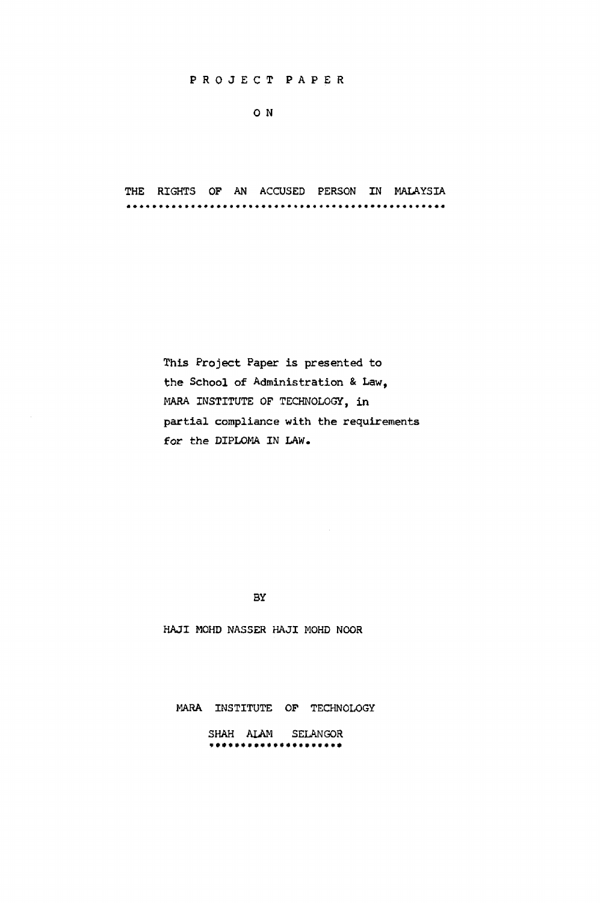#### PROJEC T PAPE R

## 0 N

THE RIGHTS OF AN ACCUSED PERSON IN MALAYSIA 

> This Project Paper is presented to the School of Administration & Law, MARA INSTITUTE OF TECHNOLOGY, in partial compliance with the requirements for the DIPLOMA IN LAW.

> > BY

HAJI MOHD NASSER HAJI MOHD NOOR

MARA INSTITUTE OF TECHNOLOGY

SHAH ALAM SELANGOR<br>\*\*\*\*\*\*\*\*\*\*\*\*\*\*\*\*\*\*\*\*\*\*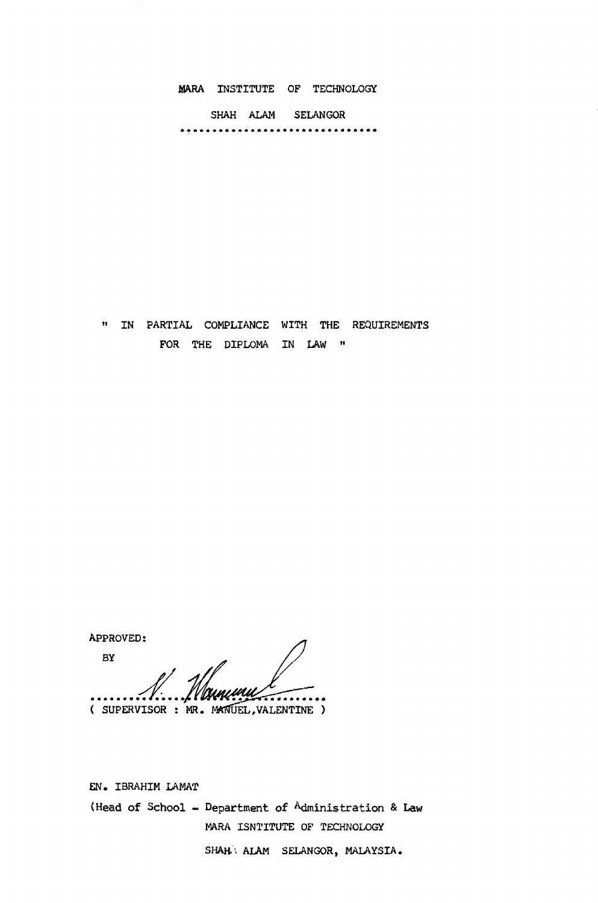MARA INSTITUTE OF TECHNOLOGY

SHAH ALAM SELANGOR 

»• IN PARTIAL COMPLIANCE WITH THE REQUIREMENTS FOR THE DIPLOMA IN LAW "

APPROVED: BY Novmun ( SUPERVISOR : MR. MANUEL, VALENTINE )

EN. IBRAHIM LAMAT (Head of School - Department of Administration *&* Law MARA ISNTITUTE OP TECHNOLOGY SHAH' ALAM SELANGOR, MALAYSIA.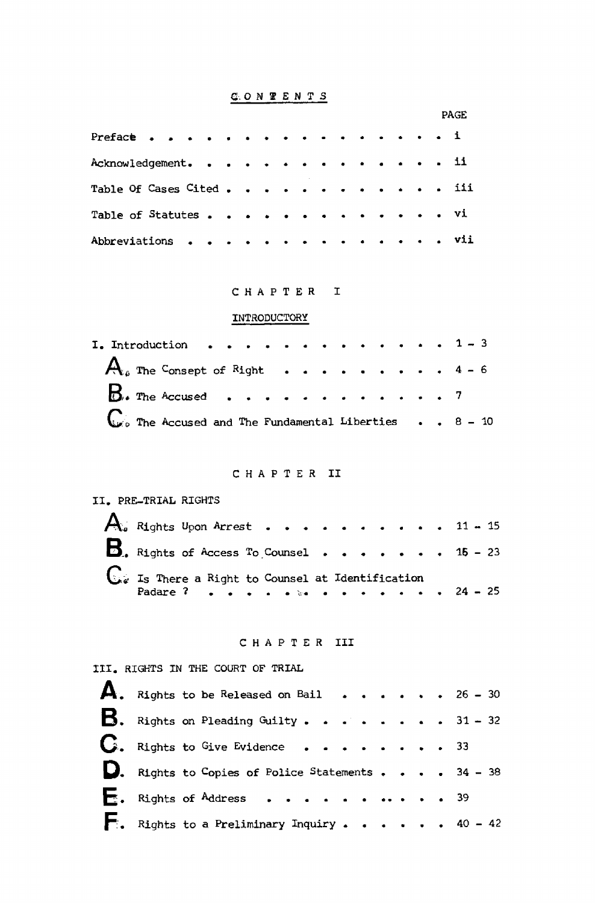# $\underline{\mathbf{C}}.\ \mathbf{O} \ \mathbf{N} \ \ \pmb{\mathbb{F}}\ \ \pmb{E} \ \mathbf{N} \ \ \pmb{\mathbf{T}}\ \ \pmb{S}$

|                          |           |           |           |                      |   |           |           |                  |               |           |        |           |           | PAGE |     |  |  |
|--------------------------|-----------|-----------|-----------|----------------------|---|-----------|-----------|------------------|---------------|-----------|--------|-----------|-----------|------|-----|--|--|
| Preface 1                |           |           |           |                      |   |           |           |                  |               |           |        |           |           |      |     |  |  |
| Acknowledgement.         |           |           |           |                      |   |           |           |                  |               |           |        |           |           |      | 11  |  |  |
| Table Of Cases Cited iii |           |           |           |                      |   |           |           |                  |               |           |        |           |           |      |     |  |  |
| Table of Statutes        |           |           |           | $\sim$ $\sim$ $\sim$ |   |           | $\bullet$ | $\sim$ $\bullet$ | . <b>. Vi</b> |           |        |           |           |      |     |  |  |
| Abbreviations            | $\bullet$ | $\bullet$ | $\bullet$ |                      | ٠ | $\bullet$ | $\bullet$ |                  | $\sim$        | $\bullet$ | $\sim$ | $\bullet$ | $\bullet$ |      | vii |  |  |

## CHAPTER I

# INTRODUCTORY

| I. Introduction 1 - 3                                         |  |  |  |  |  |  |
|---------------------------------------------------------------|--|--|--|--|--|--|
| $A_{i}$ The Consept of Right 4 - 6                            |  |  |  |  |  |  |
| $\mathbf{B}_{\bullet}$ The Accused 7                          |  |  |  |  |  |  |
| $\mathbb{C}$ The Accused and The Fundamental Liberties 8 - 10 |  |  |  |  |  |  |

# CHAPTER II

# II. PRE-TRIAL RIGHTS

| $\bigwedge_\sigma$ Rights Upon Arrest 11 - 15                     |  |  |  |  |  |  |  |  |  |
|-------------------------------------------------------------------|--|--|--|--|--|--|--|--|--|
| <b>B</b> . Rights of Access To Counsel 15 - 23                    |  |  |  |  |  |  |  |  |  |
| Is There a Right to Counsel at Identification<br>Padare ? 24 - 25 |  |  |  |  |  |  |  |  |  |

## CHAPTER III

# III. RIGHTS IN THE COURT OF TRIAL

| A. Rights to be Released on Bail 26 - 30                 |  |  |  |  |  |  |  |  |
|----------------------------------------------------------|--|--|--|--|--|--|--|--|
| <b>B.</b> Rights on Pleading Guilty. 31 - 32             |  |  |  |  |  |  |  |  |
| $\mathbf{C}$ . Rights to Give Evidence 33                |  |  |  |  |  |  |  |  |
| D. Rights to Copies of Police Statements 34 - 38         |  |  |  |  |  |  |  |  |
| $\mathbf{E}$ . Rights of Address 39                      |  |  |  |  |  |  |  |  |
| $\blacksquare$ . Rights to a Preliminary Inquiry 40 - 42 |  |  |  |  |  |  |  |  |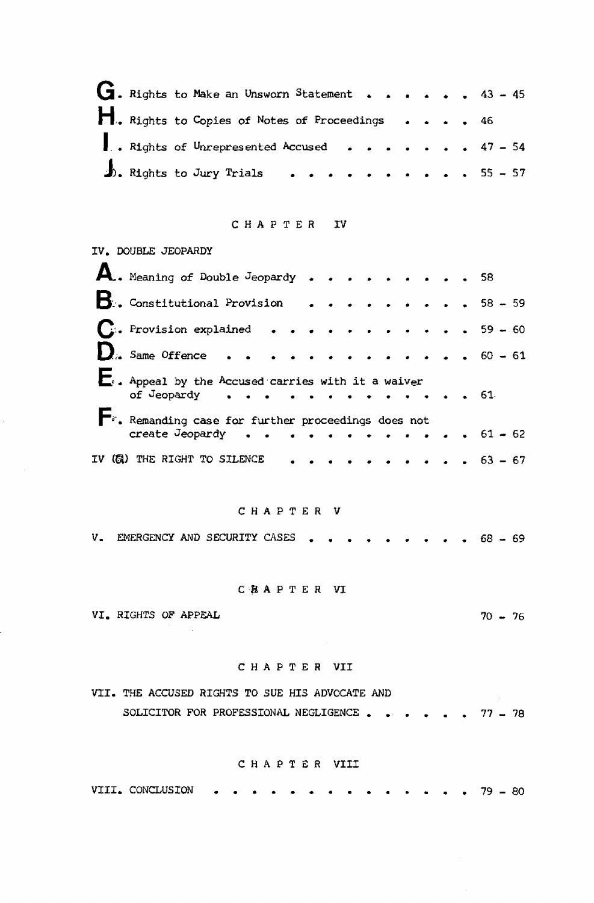|  | $G$ . Rights to Make an Unsworn Statement 43 - 45 |  |  |  |  |  |  |
|--|---------------------------------------------------|--|--|--|--|--|--|
|  | 1. Rights to Copies of Notes of Proceedings 46    |  |  |  |  |  |  |
|  | Rights of Unrepresented Accused 47 - 54           |  |  |  |  |  |  |
|  | $\frac{1}{2}$ . Rights to Jury Trials 55 - 57     |  |  |  |  |  |  |

#### CHAPTER IV

|  | IV. DOUBLE JEOPARDY                                                                                |  |  |  |  |  |  |  |  |  |
|--|----------------------------------------------------------------------------------------------------|--|--|--|--|--|--|--|--|--|
|  | A. Meaning of Double Jeopardy 58                                                                   |  |  |  |  |  |  |  |  |  |
|  | $\mathbf{B}$ . Constitutional Provision 58 - 59                                                    |  |  |  |  |  |  |  |  |  |
|  | $\mathbf{C}$ : Provision explained 59 - 60                                                         |  |  |  |  |  |  |  |  |  |
|  | $\sum_{i}$ Same Offence 60 - 61                                                                    |  |  |  |  |  |  |  |  |  |
|  | . Appeal by the Accused carries with it a waiver<br>of Jeopardy $\cdots$ 61                        |  |  |  |  |  |  |  |  |  |
|  | $\blacktriangleright$ : Remanding case for further proceedings does not<br>create Jeopardy 61 - 62 |  |  |  |  |  |  |  |  |  |
|  | IV (@) THE RIGHT TO SILENCE $\cdots$ $\cdots$ $\cdots$ $\cdots$ $\cdots$ $\cdots$ $\cdots$ 63 - 67 |  |  |  |  |  |  |  |  |  |

### CHAPTER V

V. EMERGENCY AND SECURITY CASES . . . . . . . . . 68 - 69

 $70 - 76$ 

# CBAPTER VI

VI. RIGHTS OF APPEAL

 $\mathcal{L}_{\mathcal{A}}$ 

# CHAPTER VII

|  |  |  | VII. THE ACCUSED RIGHTS TO SUE HIS ADVOCATE AND |  |  |  |  |  |
|--|--|--|-------------------------------------------------|--|--|--|--|--|
|  |  |  | SOLICITOR FOR PROFESSIONAL NEGLIGENCE 77 - 78   |  |  |  |  |  |

### CHAPTER VIII

VIII. CONCLUSION  $\bullet \quad \bullet \quad \bullet \quad 79 - 80$  $\bullet$  .